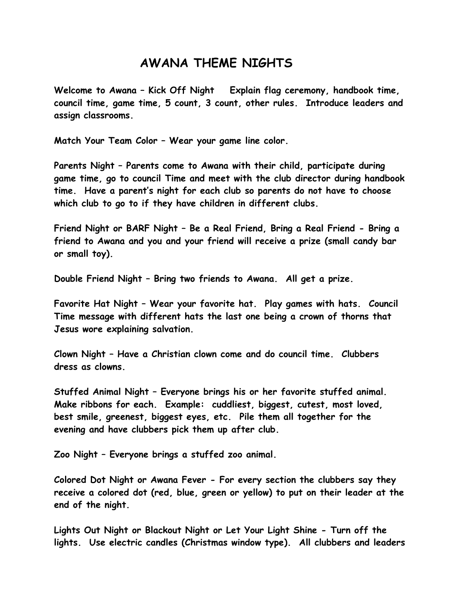## **AWANA THEME NIGHTS**

**Welcome to Awana – Kick Off Night Explain flag ceremony, handbook time, council time, game time, 5 count, 3 count, other rules. Introduce leaders and assign classrooms.**

**Match Your Team Color – Wear your game line color.**

**Parents Night – Parents come to Awana with their child, participate during game time, go to council Time and meet with the club director during handbook time. Have a parent's night for each club so parents do not have to choose which club to go to if they have children in different clubs.**

**Friend Night or BARF Night – Be a Real Friend, Bring a Real Friend - Bring a friend to Awana and you and your friend will receive a prize (small candy bar or small toy).**

**Double Friend Night – Bring two friends to Awana. All get a prize.**

**Favorite Hat Night – Wear your favorite hat. Play games with hats. Council Time message with different hats the last one being a crown of thorns that Jesus wore explaining salvation.**

**Clown Night – Have a Christian clown come and do council time. Clubbers dress as clowns.**

**Stuffed Animal Night – Everyone brings his or her favorite stuffed animal. Make ribbons for each. Example: cuddliest, biggest, cutest, most loved, best smile, greenest, biggest eyes, etc. Pile them all together for the evening and have clubbers pick them up after club.**

**Zoo Night – Everyone brings a stuffed zoo animal.**

**Colored Dot Night or Awana Fever - For every section the clubbers say they receive a colored dot (red, blue, green or yellow) to put on their leader at the end of the night.**

**Lights Out Night or Blackout Night or Let Your Light Shine - Turn off the lights. Use electric candles (Christmas window type). All clubbers and leaders**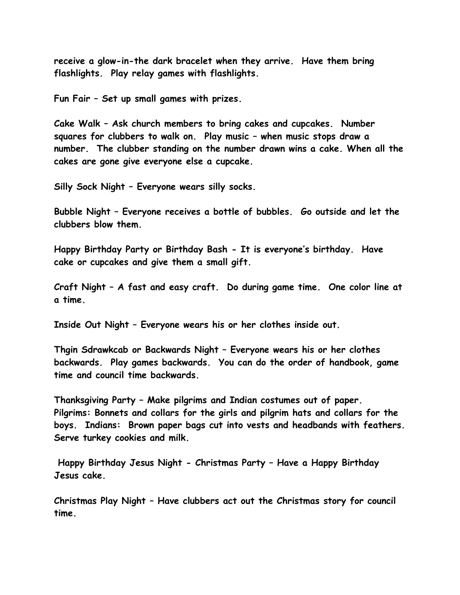**receive a glow-in-the dark bracelet when they arrive. Have them bring flashlights. Play relay games with flashlights.**

**Fun Fair – Set up small games with prizes.**

**Cake Walk – Ask church members to bring cakes and cupcakes. Number squares for clubbers to walk on. Play music – when music stops draw a number. The clubber standing on the number drawn wins a cake. When all the cakes are gone give everyone else a cupcake.**

**Silly Sock Night – Everyone wears silly socks.**

**Bubble Night – Everyone receives a bottle of bubbles. Go outside and let the clubbers blow them.**

**Happy Birthday Party or Birthday Bash - It is everyone's birthday. Have cake or cupcakes and give them a small gift.**

**Craft Night – A fast and easy craft. Do during game time. One color line at a time.**

**Inside Out Night – Everyone wears his or her clothes inside out.**

**Thgin Sdrawkcab or Backwards Night – Everyone wears his or her clothes backwards. Play games backwards. You can do the order of handbook, game time and council time backwards.**

**Thanksgiving Party – Make pilgrims and Indian costumes out of paper. Pilgrims: Bonnets and collars for the girls and pilgrim hats and collars for the boys. Indians: Brown paper bags cut into vests and headbands with feathers. Serve turkey cookies and milk.**

**Happy Birthday Jesus Night - Christmas Party – Have a Happy Birthday Jesus cake.**

**Christmas Play Night – Have clubbers act out the Christmas story for council time.**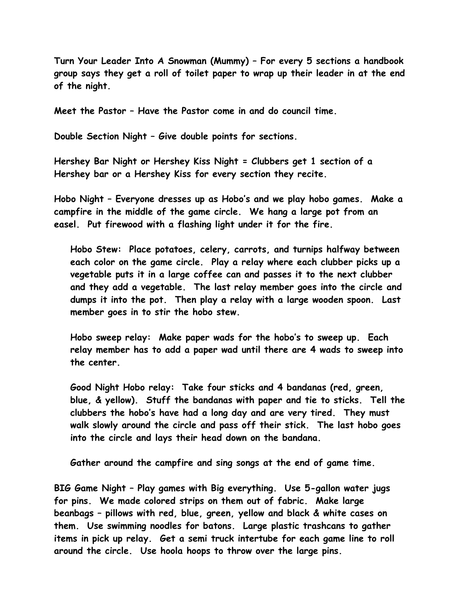**Turn Your Leader Into A Snowman (Mummy) – For every 5 sections a handbook group says they get a roll of toilet paper to wrap up their leader in at the end of the night.**

**Meet the Pastor – Have the Pastor come in and do council time.**

**Double Section Night – Give double points for sections.**

**Hershey Bar Night or Hershey Kiss Night = Clubbers get 1 section of a Hershey bar or a Hershey Kiss for every section they recite.**

**Hobo Night – Everyone dresses up as Hobo's and we play hobo games. Make a campfire in the middle of the game circle. We hang a large pot from an easel. Put firewood with a flashing light under it for the fire.** 

**Hobo Stew: Place potatoes, celery, carrots, and turnips halfway between each color on the game circle. Play a relay where each clubber picks up a vegetable puts it in a large coffee can and passes it to the next clubber and they add a vegetable. The last relay member goes into the circle and dumps it into the pot. Then play a relay with a large wooden spoon. Last member goes in to stir the hobo stew.**

**Hobo sweep relay: Make paper wads for the hobo's to sweep up. Each relay member has to add a paper wad until there are 4 wads to sweep into the center.**

**Good Night Hobo relay: Take four sticks and 4 bandanas (red, green, blue, & yellow). Stuff the bandanas with paper and tie to sticks. Tell the clubbers the hobo's have had a long day and are very tired. They must walk slowly around the circle and pass off their stick. The last hobo goes into the circle and lays their head down on the bandana.**

**Gather around the campfire and sing songs at the end of game time.**

**BIG Game Night – Play games with Big everything. Use 5-gallon water jugs for pins. We made colored strips on them out of fabric. Make large beanbags – pillows with red, blue, green, yellow and black & white cases on them. Use swimming noodles for batons. Large plastic trashcans to gather items in pick up relay. Get a semi truck intertube for each game line to roll around the circle. Use hoola hoops to throw over the large pins.**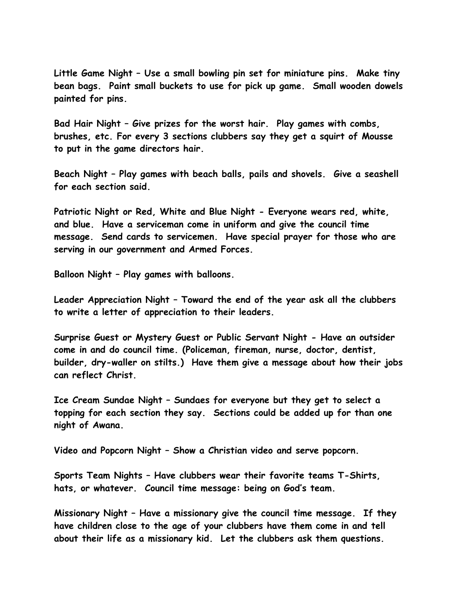**Little Game Night – Use a small bowling pin set for miniature pins. Make tiny bean bags. Paint small buckets to use for pick up game. Small wooden dowels painted for pins.**

**Bad Hair Night – Give prizes for the worst hair. Play games with combs, brushes, etc. For every 3 sections clubbers say they get a squirt of Mousse to put in the game directors hair.**

**Beach Night – Play games with beach balls, pails and shovels. Give a seashell for each section said.**

**Patriotic Night or Red, White and Blue Night - Everyone wears red, white, and blue. Have a serviceman come in uniform and give the council time message. Send cards to servicemen. Have special prayer for those who are serving in our government and Armed Forces.**

**Balloon Night – Play games with balloons.**

**Leader Appreciation Night – Toward the end of the year ask all the clubbers to write a letter of appreciation to their leaders.**

**Surprise Guest or Mystery Guest or Public Servant Night - Have an outsider come in and do council time. (Policeman, fireman, nurse, doctor, dentist, builder, dry-waller on stilts.) Have them give a message about how their jobs can reflect Christ.**

**Ice Cream Sundae Night – Sundaes for everyone but they get to select a topping for each section they say. Sections could be added up for than one night of Awana.**

**Video and Popcorn Night – Show a Christian video and serve popcorn.**

**Sports Team Nights – Have clubbers wear their favorite teams T-Shirts, hats, or whatever. Council time message: being on God's team.**

**Missionary Night – Have a missionary give the council time message. If they have children close to the age of your clubbers have them come in and tell about their life as a missionary kid. Let the clubbers ask them questions.**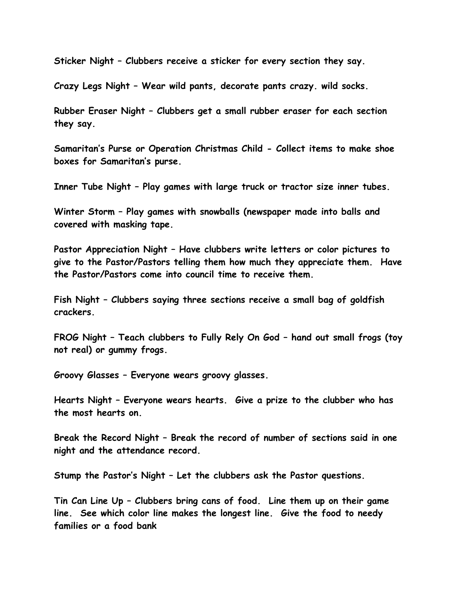**Sticker Night – Clubbers receive a sticker for every section they say.**

**Crazy Legs Night – Wear wild pants, decorate pants crazy. wild socks.**

**Rubber Eraser Night – Clubbers get a small rubber eraser for each section they say.**

**Samaritan's Purse or Operation Christmas Child - Collect items to make shoe boxes for Samaritan's purse.**

**Inner Tube Night – Play games with large truck or tractor size inner tubes.**

**Winter Storm – Play games with snowballs (newspaper made into balls and covered with masking tape.**

**Pastor Appreciation Night – Have clubbers write letters or color pictures to give to the Pastor/Pastors telling them how much they appreciate them. Have the Pastor/Pastors come into council time to receive them.**

**Fish Night – Clubbers saying three sections receive a small bag of goldfish crackers.**

**FROG Night – Teach clubbers to Fully Rely On God – hand out small frogs (toy not real) or gummy frogs.**

**Groovy Glasses – Everyone wears groovy glasses.**

**Hearts Night – Everyone wears hearts. Give a prize to the clubber who has the most hearts on.**

**Break the Record Night – Break the record of number of sections said in one night and the attendance record.**

**Stump the Pastor's Night – Let the clubbers ask the Pastor questions.**

**Tin Can Line Up – Clubbers bring cans of food. Line them up on their game line. See which color line makes the longest line. Give the food to needy families or a food bank**